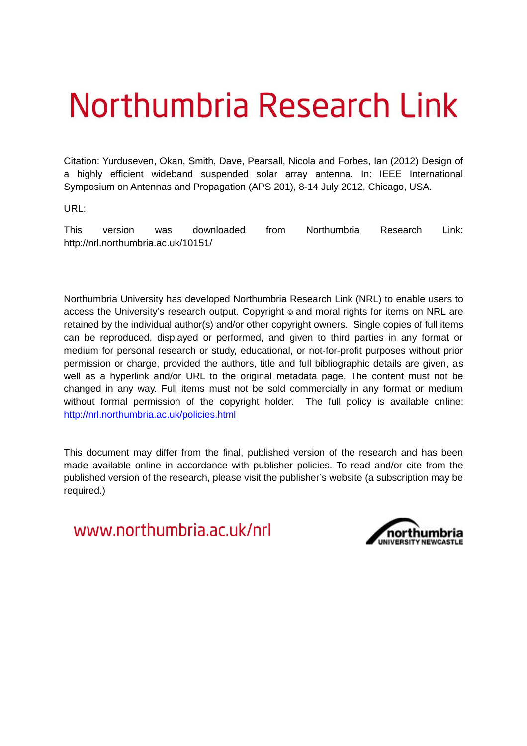# Northumbria Research Link

Citation: Yurduseven, Okan, Smith, Dave, Pearsall, Nicola and Forbes, Ian (2012) Design of a highly efficient wideband suspended solar array antenna. In: IEEE International Symposium on Antennas and Propagation (APS 201), 8-14 July 2012, Chicago, USA.

URL:

This version was downloaded from Northumbria Research Link: http://nrl.northumbria.ac.uk/10151/

Northumbria University has developed Northumbria Research Link (NRL) to enable users to access the University's research output. Copyright  $\circ$  and moral rights for items on NRL are retained by the individual author(s) and/or other copyright owners. Single copies of full items can be reproduced, displayed or performed, and given to third parties in any format or medium for personal research or study, educational, or not-for-profit purposes without prior permission or charge, provided the authors, title and full bibliographic details are given, as well as a hyperlink and/or URL to the original metadata page. The content must not be changed in any way. Full items must not be sold commercially in any format or medium without formal permission of the copyright holder. The full policy is available online: <http://nrl.northumbria.ac.uk/policies.html>

This document may differ from the final, published version of the research and has been made available online in accordance with publisher policies. To read and/or cite from the published version of the research, please visit the publisher's website (a subscription may be required.)

www.northumbria.ac.uk/nrl

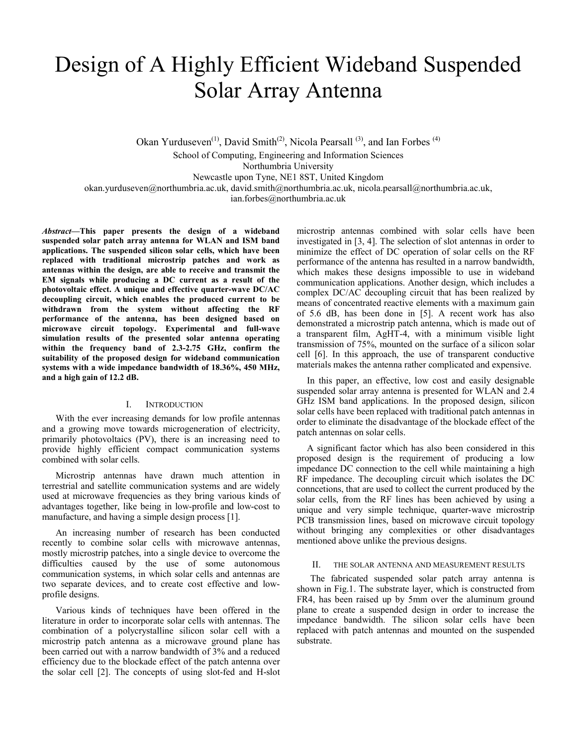# Design of A Highly Efficient Wideband Suspended Solar Array Antenna

Okan Yurduseven<sup>(1)</sup>, David Smith<sup>(2)</sup>, Nicola Pearsall<sup>(3)</sup>, and Ian Forbes<sup>(4)</sup> School of Computing, Engineering and Information Sciences Northumbria University Newcastle upon Tyne, NE1 8ST, United Kingdom okan.yurduseven@northumbria.ac.uk, david.smith@northumbria.ac.uk, nicola.pearsall@northumbria.ac.uk, ian.forbes@northumbria.ac.uk

*Abstract***—This paper presents the design of a wideband suspended solar patch array antenna for WLAN and ISM band applications. The suspended silicon solar cells, which have been replaced with traditional microstrip patches and work as antennas within the design, are able to receive and transmit the EM signals while producing a DC current as a result of the photovoltaic effect. A unique and effective quarter-wave DC/AC decoupling circuit, which enables the produced current to be withdrawn from the system without affecting the RF performance of the antenna, has been designed based on microwave circuit topology. Experimental and full-wave simulation results of the presented solar antenna operating within the frequency band of 2.3-2.75 GHz, confirm the suitability of the proposed design for wideband communication systems with a wide impedance bandwidth of 18.36%, 450 MHz, and a high gain of 12.2 dB.** 

# I. INTRODUCTION

With the ever increasing demands for low profile antennas and a growing move towards microgeneration of electricity, primarily photovoltaics (PV), there is an increasing need to provide highly efficient compact communication systems combined with solar cells.

Microstrip antennas have drawn much attention in terrestrial and satellite communication systems and are widely used at microwave frequencies as they bring various kinds of advantages together, like being in low-profile and low-cost to manufacture, and having a simple design process [1].

An increasing number of research has been conducted recently to combine solar cells with microwave antennas, mostly microstrip patches, into a single device to overcome the difficulties caused by the use of some autonomous communication systems, in which solar cells and antennas are two separate devices, and to create cost effective and lowprofile designs.

Various kinds of techniques have been offered in the literature in order to incorporate solar cells with antennas. The combination of a polycrystalline silicon solar cell with a microstrip patch antenna as a microwave ground plane has been carried out with a narrow bandwidth of 3% and a reduced efficiency due to the blockade effect of the patch antenna over the solar cell [2]. The concepts of using slot-fed and H-slot

microstrip antennas combined with solar cells have been investigated in [3, 4]. The selection of slot antennas in order to minimize the effect of DC operation of solar cells on the RF performance of the antenna has resulted in a narrow bandwidth, which makes these designs impossible to use in wideband communication applications. Another design, which includes a complex DC/AC decoupling circuit that has been realized by means of concentrated reactive elements with a maximum gain of 5.6 dB, has been done in [5]. A recent work has also demonstrated a microstrip patch antenna, which is made out of a transparent film, AgHT-4, with a minimum visible light transmission of 75%, mounted on the surface of a silicon solar cell [6]. In this approach, the use of transparent conductive materials makes the antenna rather complicated and expensive.

In this paper, an effective, low cost and easily designable suspended solar array antenna is presented for WLAN and 2.4 GHz ISM band applications. In the proposed design, silicon solar cells have been replaced with traditional patch antennas in order to eliminate the disadvantage of the blockade effect of the patch antennas on solar cells.

A significant factor which has also been considered in this proposed design is the requirement of producing a low impedance DC connection to the cell while maintaining a high RF impedance. The decoupling circuit which isolates the DC conncetions, that are used to collect the current produced by the solar cells, from the RF lines has been achieved by using a unique and very simple technique, quarter-wave microstrip PCB transmission lines, based on microwave circuit topology without bringing any complexities or other disadvantages mentioned above unlike the previous designs.

#### II. THE SOLAR ANTENNA AND MEASUREMENT RESULTS

The fabricated suspended solar patch array antenna is shown in Fig.1. The substrate layer, which is constructed from FR4, has been raised up by 5mm over the aluminum ground plane to create a suspended design in order to increase the impedance bandwidth. The silicon solar cells have been replaced with patch antennas and mounted on the suspended substrate.